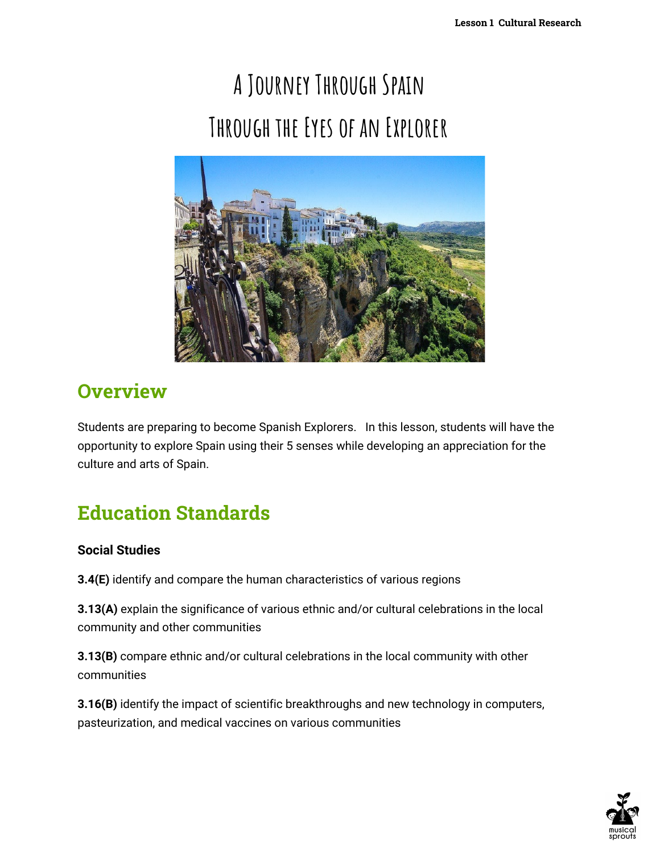# **A Journey Through Spain Through the Eyes of an Explorer**



### **Overview**

Students are preparing to become Spanish Explorers. In this lesson, students will have the opportunity to explore Spain using their 5 senses while developing an appreciation for the culture and arts of Spain.

# **Education Standards**

### **Social Studies**

**3.4(E)** identify and compare the human characteristics of various regions

**3.13(A)** explain the significance of various ethnic and/or cultural celebrations in the local community and other communities

**3.13(B)** compare ethnic and/or cultural celebrations in the local community with other communities

**3.16(B)** identify the impact of scientific breakthroughs and new technology in computers, pasteurization, and medical vaccines on various communities

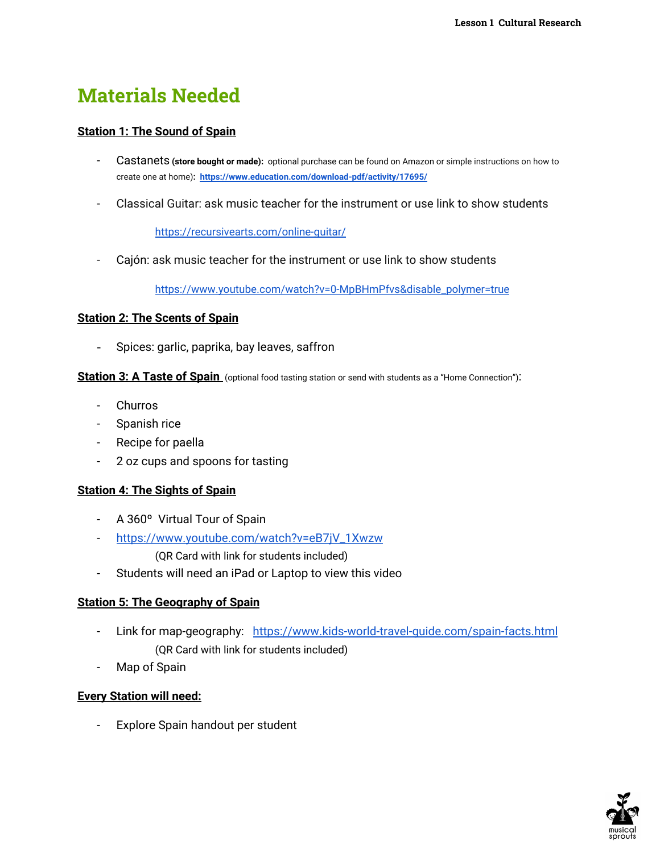### **Materials Needed**

### **Station 1: The Sound of Spain**

- Castanets **(store bought or made):** optional purchase can be found on Amazon or simple instructions on how to create one at home)**: <https://www.education.com/download-pdf/activity/17695/>**
- Classical Guitar: ask music teacher for the instrument or use link to show students

<https://recursivearts.com/online-guitar/>

Cajón: ask music teacher for the instrument or use link to show students

[https://www.youtube.com/watch?v=0-MpBHmPfvs&disable\\_polymer=true](https://www.youtube.com/watch?v=0-MpBHmPfvs&disable_polymer=true)

#### **Station 2: The Scents of Spain**

- Spices: garlic, paprika, bay leaves, saffron

**Station 3: A Taste of Spain** (optional food tasting station or send with students as a "Home Connection"):

- Churros
- Spanish rice
- Recipe for paella
- 2 oz cups and spoons for tasting

#### **Station 4: The Sights of Spain**

- A 360º Virtual Tour of Spain
- [https://www.youtube.com/watch?v=eB7jV\\_1Xwzw](https://www.youtube.com/watch?v=eB7jV_1Xwzw)
	- (QR Card with link for students included)
- Students will need an iPad or Laptop to view this video

### **Station 5: The Geography of Spain**

- Link for map-geography: <https://www.kids-world-travel-guide.com/spain-facts.html> (QR Card with link for students included)
- Map of Spain

### **Every Station will need:**

Explore Spain handout per student

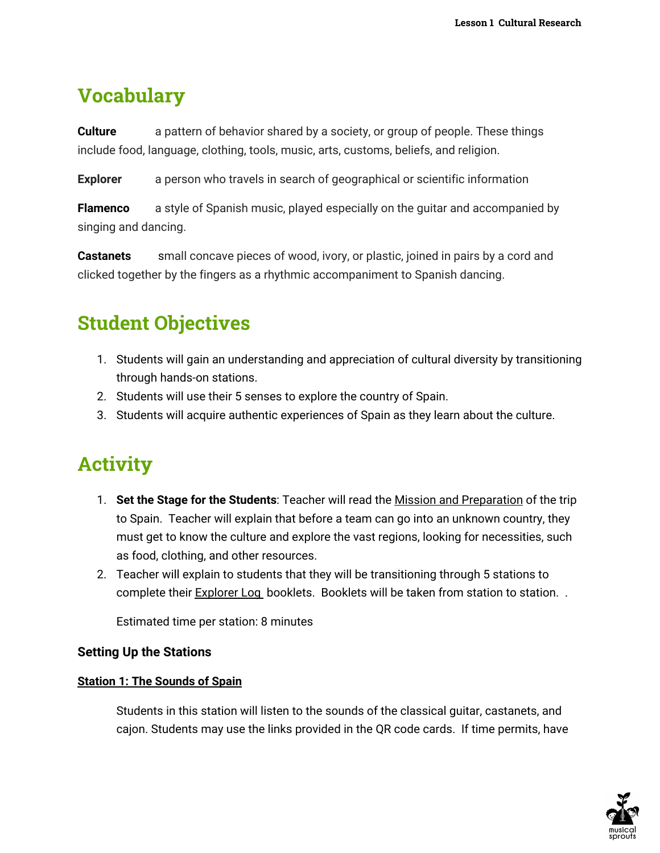### **Vocabulary**

**Culture** a pattern of behavior shared by a society, or group of people. These things include food, language, clothing, tools, music, arts, customs, beliefs, and religion.

**Explorer** a person who travels in search of geographical or scientific information

**Flamenco** a style of Spanish music, played especially on the quitar and accompanied by singing and dancing.

**Castanets** small concave pieces of wood, ivory, or plastic, joined in pairs by a cord and clicked together by the fingers as a rhythmic accompaniment to Spanish dancing.

### **Student Objectives**

- 1. Students will gain an understanding and appreciation of cultural diversity by transitioning through hands-on stations.
- 2. Students will use their 5 senses to explore the country of Spain.
- 3. Students will acquire authentic experiences of Spain as they learn about the culture.

# **Activity**

- 1. **Set the Stage for the Students**: Teacher will read the Mission and Preparation of the trip to Spain. Teacher will explain that before a team can go into an unknown country, they must get to know the culture and explore the vast regions, looking for necessities, such as food, clothing, and other resources.
- 2. Teacher will explain to students that they will be transitioning through 5 stations to complete their Explorer Log booklets. Booklets will be taken from station to station. .

Estimated time per station: 8 minutes

### **Setting Up the Stations**

### **Station 1: The Sounds of Spain**

Students in this station will listen to the sounds of the classical guitar, castanets, and cajon. Students may use the links provided in the QR code cards. If time permits, have

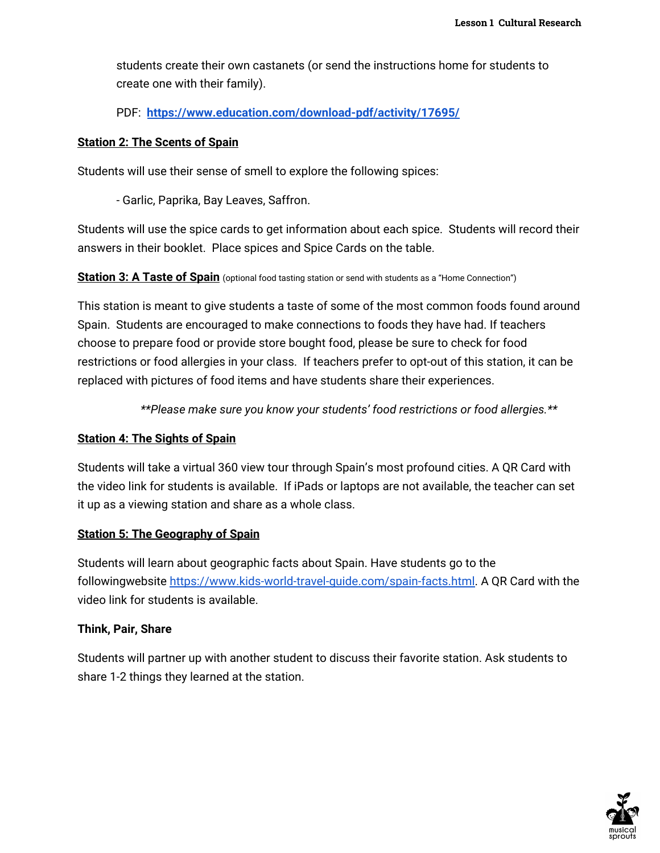students create their own castanets (or send the instructions home for students to create one with their family).

PDF: **<https://www.education.com/download-pdf/activity/17695/>**

#### **Station 2: The Scents of Spain**

Students will use their sense of smell to explore the following spices:

- Garlic, Paprika, Bay Leaves, Saffron.

Students will use the spice cards to get information about each spice. Students will record their answers in their booklet. Place spices and Spice Cards on the table.

**Station 3: A Taste of Spain** (optional food tasting station or send with students as a "Home Connection")

This station is meant to give students a taste of some of the most common foods found around Spain. Students are encouraged to make connections to foods they have had. If teachers choose to prepare food or provide store bought food, please be sure to check for food restrictions or food allergies in your class. If teachers prefer to opt-out of this station, it can be replaced with pictures of food items and have students share their experiences.

*\*\*Please make sure you know your students' food restrictions or food allergies.\*\**

#### **Station 4: The Sights of Spain**

Students will take a virtual 360 view tour through Spain's most profound cities. A QR Card with the video link for students is available. If iPads or laptops are not available, the teacher can set it up as a viewing station and share as a whole class.

#### **Station 5: The Geography of Spain**

Students will learn about geographic facts about Spain. Have students go to the followingwebsite [https://www.kids-world-travel-guide.com/spain-facts.html.](https://www.kids-world-travel-guide.com/spain-facts.html) A QR Card with the video link for students is available.

#### **Think, Pair, Share**

Students will partner up with another student to discuss their favorite station. Ask students to share 1-2 things they learned at the station.